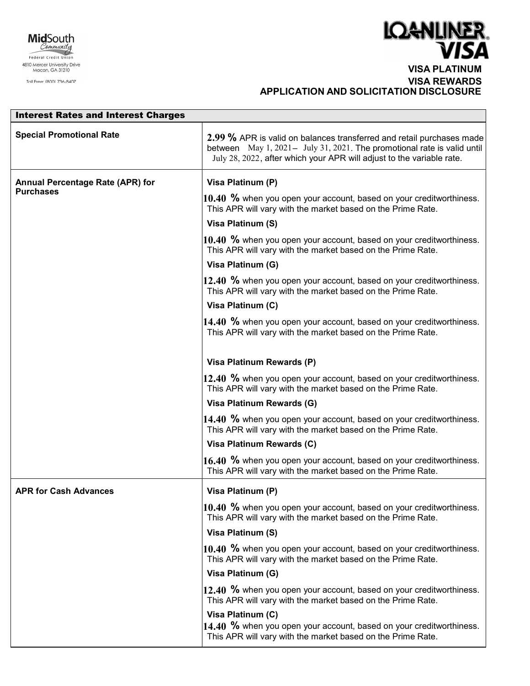



 **VISA PLATINUM VISA REWARDS APPLICATION AND SOLICITATION DISCLOSURE** 

| <b>Interest Rates and Interest Charges</b>           |                                                                                                                                                                                                                            |  |
|------------------------------------------------------|----------------------------------------------------------------------------------------------------------------------------------------------------------------------------------------------------------------------------|--|
| <b>Special Promotional Rate</b>                      | 2.99 % APR is valid on balances transferred and retail purchases made<br>between May 1, 2021 - July 31, 2021. The promotional rate is valid until<br>July 28, 2022, after which your APR will adjust to the variable rate. |  |
| Annual Percentage Rate (APR) for<br><b>Purchases</b> | Visa Platinum (P)                                                                                                                                                                                                          |  |
|                                                      | 10.40 % when you open your account, based on your creditworthiness.<br>This APR will vary with the market based on the Prime Rate.                                                                                         |  |
|                                                      | Visa Platinum (S)                                                                                                                                                                                                          |  |
|                                                      | 10.40 % when you open your account, based on your creditworthiness.<br>This APR will vary with the market based on the Prime Rate.                                                                                         |  |
|                                                      | Visa Platinum (G)                                                                                                                                                                                                          |  |
|                                                      | 12.40 % when you open your account, based on your creditworthiness.<br>This APR will vary with the market based on the Prime Rate.                                                                                         |  |
|                                                      | Visa Platinum (C)                                                                                                                                                                                                          |  |
|                                                      | 14.40 % when you open your account, based on your creditworthiness.<br>This APR will vary with the market based on the Prime Rate.                                                                                         |  |
|                                                      | Visa Platinum Rewards (P)                                                                                                                                                                                                  |  |
|                                                      | 12.40 % when you open your account, based on your creditworthiness.<br>This APR will vary with the market based on the Prime Rate.                                                                                         |  |
|                                                      | Visa Platinum Rewards (G)                                                                                                                                                                                                  |  |
|                                                      | 14.40 % when you open your account, based on your creditworthiness.<br>This APR will vary with the market based on the Prime Rate.                                                                                         |  |
|                                                      | Visa Platinum Rewards (C)                                                                                                                                                                                                  |  |
|                                                      | 16.40 % when you open your account, based on your creditworthiness.<br>This APR will vary with the market based on the Prime Rate.                                                                                         |  |
| <b>APR for Cash Advances</b>                         | Visa Platinum (P)                                                                                                                                                                                                          |  |
|                                                      | $ 10.40\>$ % when you open your account, based on your creditworthiness.<br>This APR will vary with the market based on the Prime Rate.                                                                                    |  |
|                                                      | Visa Platinum (S)                                                                                                                                                                                                          |  |
|                                                      | 10.40 % when you open your account, based on your creditworthiness.<br>This APR will vary with the market based on the Prime Rate.                                                                                         |  |
|                                                      | Visa Platinum (G)                                                                                                                                                                                                          |  |
|                                                      | 12.40 % when you open your account, based on your creditworthiness.<br>This APR will vary with the market based on the Prime Rate.                                                                                         |  |
|                                                      | Visa Platinum (C)<br>14.40 % when you open your account, based on your creditworthiness.<br>This APR will vary with the market based on the Prime Rate.                                                                    |  |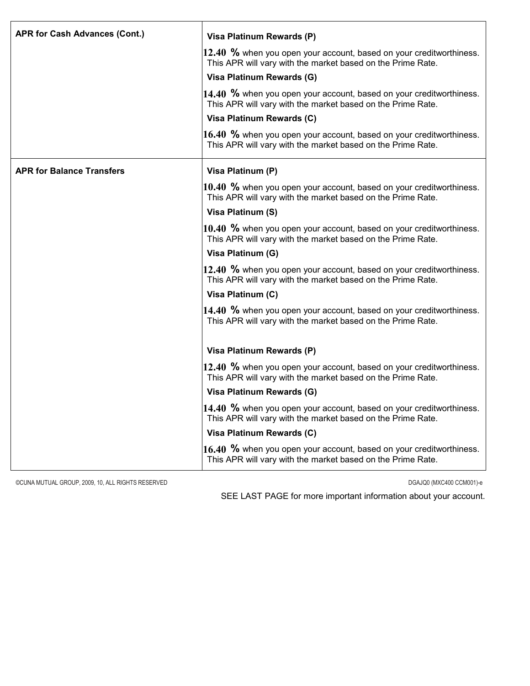| <b>APR for Cash Advances (Cont.)</b> | Visa Platinum Rewards (P)                                                                                                            |
|--------------------------------------|--------------------------------------------------------------------------------------------------------------------------------------|
|                                      | 12.40 % when you open your account, based on your creditworthiness.<br>This APR will vary with the market based on the Prime Rate.   |
|                                      | Visa Platinum Rewards (G)                                                                                                            |
|                                      | 14.40 % when you open your account, based on your creditworthiness.<br>This APR will vary with the market based on the Prime Rate.   |
|                                      | Visa Platinum Rewards (C)                                                                                                            |
|                                      | 16.40 % when you open your account, based on your creditworthiness.<br>This APR will vary with the market based on the Prime Rate.   |
| <b>APR for Balance Transfers</b>     | Visa Platinum (P)                                                                                                                    |
|                                      | 10.40 % when you open your account, based on your creditworthiness.<br>This APR will vary with the market based on the Prime Rate.   |
|                                      | Visa Platinum (S)                                                                                                                    |
|                                      | 10.40 $%$ when you open your account, based on your creditworthiness.<br>This APR will vary with the market based on the Prime Rate. |
|                                      | Visa Platinum (G)                                                                                                                    |
|                                      | 12.40 % when you open your account, based on your creditworthiness.<br>This APR will vary with the market based on the Prime Rate.   |
|                                      | Visa Platinum (C)                                                                                                                    |
|                                      | $14.40$ % when you open your account, based on your creditworthiness.<br>This APR will vary with the market based on the Prime Rate. |
|                                      | Visa Platinum Rewards (P)                                                                                                            |
|                                      | 12.40 % when you open your account, based on your creditworthiness.<br>This APR will vary with the market based on the Prime Rate.   |
|                                      | Visa Platinum Rewards (G)                                                                                                            |
|                                      | 14.40 % when you open your account, based on your creditworthiness.<br>This APR will vary with the market based on the Prime Rate.   |
|                                      | Visa Platinum Rewards (C)                                                                                                            |
|                                      | 16.40 % when you open your account, based on your creditworthiness.<br>This APR will vary with the market based on the Prime Rate.   |

©CUNA MUTUAL GROUP, 2009, 10, ALL RIGHTS RESERVED DGAJQ0 (MXC400 CCM001)-e

SEE LAST PAGE for more important information about your account.